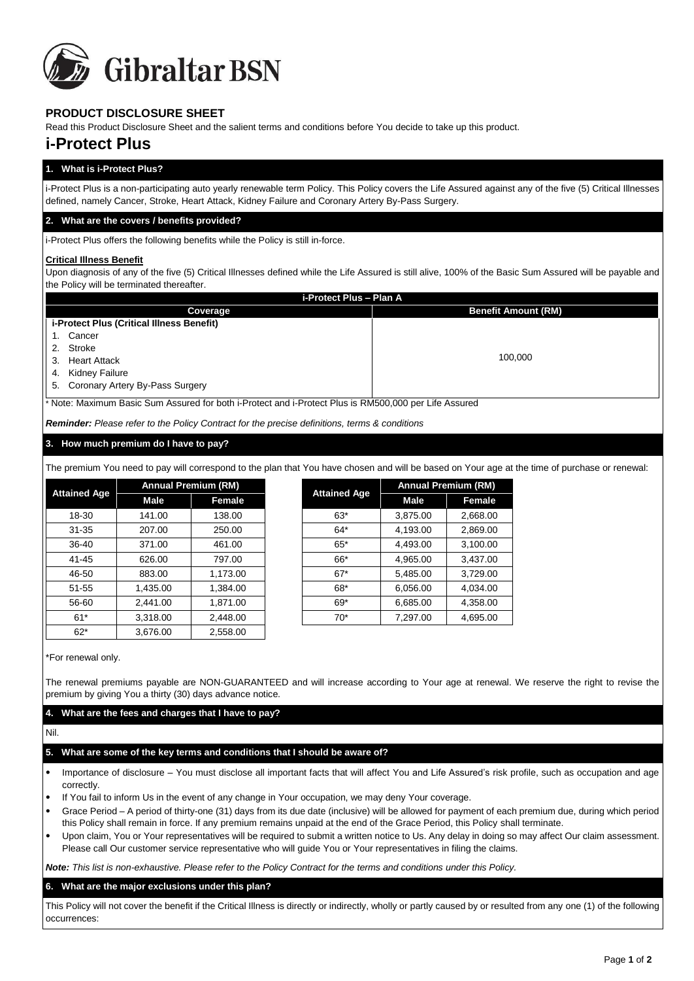

# **PRODUCT DISCLOSURE SHEET**

Read this Product Disclosure Sheet and the salient terms and conditions before You decide to take up this product.

# **i-Protect Plus**

# **1. What is i-Protect Plus?**

i-Protect Plus is a non-participating auto yearly renewable term Policy. This Policy covers the Life Assured against any of the five (5) Critical Illnesses defined, namely Cancer, Stroke, Heart Attack, Kidney Failure and Coronary Artery By-Pass Surgery.

## **2. What are the covers / benefits provided?**

i-Protect Plus offers the following benefits while the Policy is still in-force.

#### **Critical Illness Benefit**

Upon diagnosis of any of the five (5) Critical Illnesses defined while the Life Assured is still alive, 100% of the Basic Sum Assured will be payable and the Policy will be terminated thereafter.

| i-Protect Plus - Plan A                                                                               |                            |  |  |  |  |
|-------------------------------------------------------------------------------------------------------|----------------------------|--|--|--|--|
| Coverage                                                                                              | <b>Benefit Amount (RM)</b> |  |  |  |  |
| i-Protect Plus (Critical Illness Benefit)                                                             |                            |  |  |  |  |
| Cancer                                                                                                |                            |  |  |  |  |
| Stroke<br>2.                                                                                          |                            |  |  |  |  |
| <b>Heart Attack</b><br>3.                                                                             |                            |  |  |  |  |
| Kidney Failure<br>4.                                                                                  |                            |  |  |  |  |
| 5. Coronary Artery By-Pass Surgery                                                                    |                            |  |  |  |  |
| * Note: Maximum Basic Sum Assured for both i-Protect and i-Protect Plus is RM500,000 per Life Assured |                            |  |  |  |  |
|                                                                                                       | 100.000                    |  |  |  |  |

*Reminder: Please refer to the Policy Contract for the precise definitions, terms & conditions*

#### **3. How much premium do I have to pay?**

The premium You need to pay will correspond to the plan that You have chosen and will be based on Your age at the time of purchase or renewal:

| <b>Attained Age</b> | <b>Annual Premium (RM)</b> |          | <b>Attained Age</b> | <b>Annual Premium (RM)</b> |               |
|---------------------|----------------------------|----------|---------------------|----------------------------|---------------|
|                     | Male                       | Female   |                     | Male                       | <b>Female</b> |
| 18-30               | 141.00                     | 138.00   | $63*$               | 3,875.00                   | 2,668.00      |
| $31 - 35$           | 207.00                     | 250.00   | $64*$               | 4,193.00                   | 2,869.00      |
| 36-40               | 371.00                     | 461.00   | $65*$               | 4,493.00                   | 3,100.00      |
| 41-45               | 626.00                     | 797.00   | 66*                 | 4,965.00                   | 3,437.00      |
| 46-50               | 883.00                     | 1,173.00 | $67*$               | 5,485.00                   | 3,729.00      |
| $51 - 55$           | 1,435.00                   | 1.384.00 | 68*                 | 6,056.00                   | 4,034.00      |
| 56-60               | 2,441.00                   | 1,871.00 | $69*$               | 6,685.00                   | 4,358.00      |
| $61*$               | 3,318.00                   | 2,448.00 | $70*$               | 7,297.00                   | 4,695.00      |
| $62*$               | 3,676.00                   | 2,558.00 |                     |                            |               |

| ned Age  | <b>Annual Premium (RM)</b> |          | <b>Attained Age</b> | <b>Annual Premium (RM)</b> |          |
|----------|----------------------------|----------|---------------------|----------------------------|----------|
|          | Male                       | Female   |                     | <b>Male</b>                | Female   |
| 8-30     | 141.00                     | 138.00   | $63*$               | 3,875.00                   | 2,668.00 |
| $1 - 35$ | 207.00                     | 250.00   | $64*$               | 4,193.00                   | 2,869.00 |
| 6-40     | 371.00                     | 461.00   | $65*$               | 4,493.00                   | 3,100.00 |
| $1 - 45$ | 626.00                     | 797.00   | 66*                 | 4,965.00                   | 3,437.00 |
| 6-50     | 883.00                     | 1,173.00 | $67*$               | 5,485.00                   | 3,729.00 |
| $1 - 55$ | 1,435.00                   | 1,384.00 | 68*                 | 6,056.00                   | 4,034.00 |
| 6-60     | 2,441.00                   | 1,871.00 | $69*$               | 6,685.00                   | 4,358.00 |
| 61*      | 3,318.00                   | 2,448.00 | $70*$               | 7,297.00                   | 4,695.00 |

\*For renewal only.

The renewal premiums payable are NON-GUARANTEED and will increase according to Your age at renewal. We reserve the right to revise the premium by giving You a thirty (30) days advance notice.

# **4. What are the fees and charges that I have to pay?**

Nil.

# **5. What are some of the key terms and conditions that I should be aware of?**

- Importance of disclosure You must disclose all important facts that will affect You and Life Assured's risk profile, such as occupation and age correctly.
- If You fail to inform Us in the event of any change in Your occupation, we may deny Your coverage.
- Grace Period A period of thirty-one (31) days from its due date (inclusive) will be allowed for payment of each premium due, during which period this Policy shall remain in force. If any premium remains unpaid at the end of the Grace Period, this Policy shall terminate.
- Upon claim, You or Your representatives will be required to submit a written notice to Us. Any delay in doing so may affect Our claim assessment. Please call Our customer service representative who will guide You or Your representatives in filing the claims.

*Note: This list is non-exhaustive. Please refer to the Policy Contract for the terms and conditions under this Policy.* 

# **6. What are the major exclusions under this plan?**

This Policy will not cover the benefit if the Critical Illness is directly or indirectly, wholly or partly caused by or resulted from any one (1) of the following occurrences: